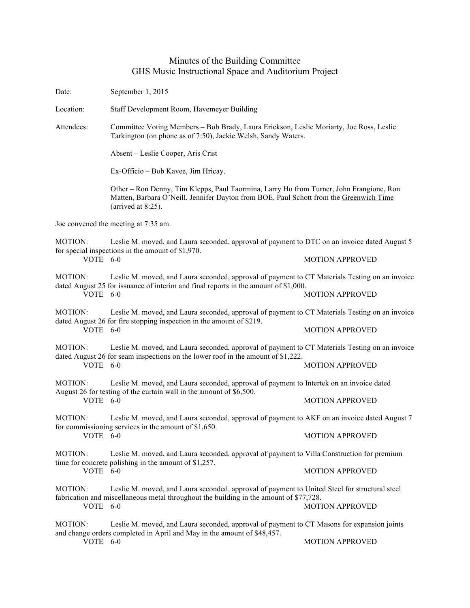## Minutes of the Building Committee GHS Music Instructional Space and Auditorium Project

Date: September 1, 2015

Location: Staff Development Room, Havemeyer Building

Attendees: Committee Voting Members – Bob Brady, Laura Erickson, Leslie Moriarty, Joe Ross, Leslie Tarkington (on phone as of 7:50), Jackie Welsh, Sandy Waters.

Absent – Leslie Cooper, Aris Crist

Ex-Officio – Bob Kavee, Jim Hricay.

Other – Ron Denny, Tim Klepps, Paul Taormina, Larry Ho from Turner, John Frangione, Ron Matten, Barbara O'Neill, Jennifer Dayton from BOE, Paul Schott from the Greenwich Time (arrived at 8:25).

Joe convened the meeting at 7:35 am.

MOTION: Leslie M. moved, and Laura seconded, approval of payment to DTC on an invoice dated August 5 for special inspections in the amount of \$1,970. VOTE 6-0 MOTION APPROVED

MOTION: Leslie M. moved, and Laura seconded, approval of payment to CT Materials Testing on an invoice dated August 25 for issuance of interim and final reports in the amount of \$1,000. VOTE 6-0 MOTION APPROVED

MOTION: Leslie M. moved, and Laura seconded, approval of payment to CT Materials Testing on an invoice dated August 26 for fire stopping inspection in the amount of \$219. VOTE 6-0 MOTION APPROVED

MOTION: Leslie M. moved, and Laura seconded, approval of payment to CT Materials Testing on an invoice dated August 26 for seam inspections on the lower roof in the amount of \$1,222. VOTE 6-0 MOTION APPROVED

MOTION: Leslie M. moved, and Laura seconded, approval of payment to Intertek on an invoice dated August 26 for testing of the curtain wall in the amount of \$6,500.<br>VOTE 6-0 **MOTION APPROVED** 

MOTION: Leslie M. moved, and Laura seconded, approval of payment to AKF on an invoice dated August 7 for commissioning services in the amount of \$1,650. VOTE 6-0 MOTION APPROVED

MOTION: Leslie M. moved, and Laura seconded, approval of payment to Villa Construction for premium time for concrete polishing in the amount of \$1,257. VOTE 6-0 MOTION APPROVED

MOTION: Leslie M. moved, and Laura seconded, approval of payment to United Steel for structural steel fabrication and miscellaneous metal throughout the building in the amount of \$77,728. VOTE 6-0 MOTION APPROVED

MOTION: Leslie M. moved, and Laura seconded, approval of payment to CT Masons for expansion joints and change orders completed in April and May in the amount of \$48,457. VOTE 6-0 MOTION APPROVED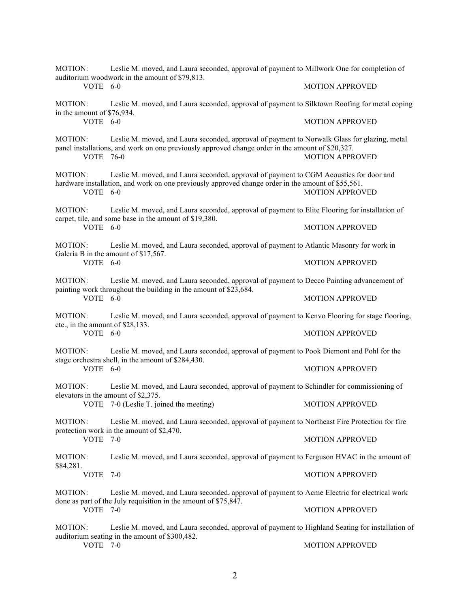| Leslie M. moved, and Laura seconded, approval of payment to Millwork One for completion of<br><b>MOTION:</b><br>auditorium woodwork in the amount of \$79,813. |                                                                                                                                                                                                  |                        |  |  |
|----------------------------------------------------------------------------------------------------------------------------------------------------------------|--------------------------------------------------------------------------------------------------------------------------------------------------------------------------------------------------|------------------------|--|--|
| VOTE 6-0                                                                                                                                                       |                                                                                                                                                                                                  | <b>MOTION APPROVED</b> |  |  |
| MOTION:<br>in the amount of \$76,934.                                                                                                                          | Leslie M. moved, and Laura seconded, approval of payment to Silktown Roofing for metal coping                                                                                                    |                        |  |  |
| VOTE 6-0                                                                                                                                                       |                                                                                                                                                                                                  | <b>MOTION APPROVED</b> |  |  |
| MOTION:<br><b>VOTE 76-0</b>                                                                                                                                    | Leslie M. moved, and Laura seconded, approval of payment to Norwalk Glass for glazing, metal<br>panel installations, and work on one previously approved change order in the amount of \$20,327. | <b>MOTION APPROVED</b> |  |  |
| MOTION:<br>VOTE 6-0                                                                                                                                            | Leslie M. moved, and Laura seconded, approval of payment to CGM Acoustics for door and<br>hardware installation, and work on one previously approved change order in the amount of \$55,561.     | <b>MOTION APPROVED</b> |  |  |
| <b>MOTION:</b>                                                                                                                                                 | Leslie M. moved, and Laura seconded, approval of payment to Elite Flooring for installation of<br>carpet, tile, and some base in the amount of \$19,380.                                         |                        |  |  |
| VOTE 6-0                                                                                                                                                       |                                                                                                                                                                                                  | <b>MOTION APPROVED</b> |  |  |
| MOTION:                                                                                                                                                        | Leslie M. moved, and Laura seconded, approval of payment to Atlantic Masonry for work in<br>Galeria B in the amount of \$17,567.                                                                 |                        |  |  |
| VOTE 6-0                                                                                                                                                       |                                                                                                                                                                                                  | <b>MOTION APPROVED</b> |  |  |
| MOTION:<br>VOTE 6-0                                                                                                                                            | Leslie M. moved, and Laura seconded, approval of payment to Decco Painting advancement of<br>painting work throughout the building in the amount of \$23,684.                                    |                        |  |  |
|                                                                                                                                                                |                                                                                                                                                                                                  | <b>MOTION APPROVED</b> |  |  |
| <b>MOTION:</b>                                                                                                                                                 | Leslie M. moved, and Laura seconded, approval of payment to Kenvo Flooring for stage flooring,<br>etc., in the amount of \$28,133.                                                               |                        |  |  |
| VOTE 6-0                                                                                                                                                       |                                                                                                                                                                                                  | <b>MOTION APPROVED</b> |  |  |
| MOTION:                                                                                                                                                        | Leslie M. moved, and Laura seconded, approval of payment to Pook Diemont and Pohl for the<br>stage orchestra shell, in the amount of \$284,430.                                                  |                        |  |  |
| VOTE 6-0                                                                                                                                                       |                                                                                                                                                                                                  | <b>MOTION APPROVED</b> |  |  |
| MOTION:                                                                                                                                                        | Leslie M. moved, and Laura seconded, approval of payment to Schindler for commissioning of<br>elevators in the amount of \$2,375.<br>VOTE 7-0 (Leslie T. joined the meeting)                     |                        |  |  |
|                                                                                                                                                                |                                                                                                                                                                                                  | <b>MOTION APPROVED</b> |  |  |
| MOTION:<br>VOTE                                                                                                                                                | Leslie M. moved, and Laura seconded, approval of payment to Northeast Fire Protection for fire<br>protection work in the amount of \$2,470.<br>$7-0$                                             |                        |  |  |
|                                                                                                                                                                |                                                                                                                                                                                                  | <b>MOTION APPROVED</b> |  |  |
| MOTION:<br>\$84,281.<br>VOTE                                                                                                                                   | Leslie M. moved, and Laura seconded, approval of payment to Ferguson HVAC in the amount of                                                                                                       |                        |  |  |
|                                                                                                                                                                | $7-0$                                                                                                                                                                                            | <b>MOTION APPROVED</b> |  |  |
| MOTION:                                                                                                                                                        | Leslie M. moved, and Laura seconded, approval of payment to Acme Electric for electrical work<br>done as part of the July requisition in the amount of \$75,847.                                 |                        |  |  |
| VOTE 7-0                                                                                                                                                       |                                                                                                                                                                                                  | <b>MOTION APPROVED</b> |  |  |
| MOTION:<br>VOTE 7-0                                                                                                                                            | Leslie M. moved, and Laura seconded, approval of payment to Highland Seating for installation of<br>auditorium seating in the amount of \$300,482.                                               |                        |  |  |
|                                                                                                                                                                |                                                                                                                                                                                                  | <b>MOTION APPROVED</b> |  |  |